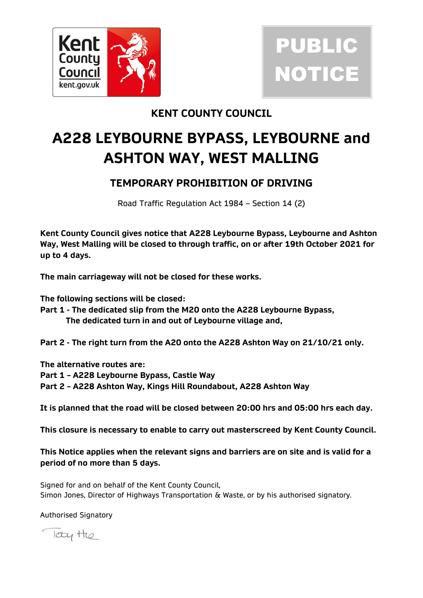

## PUBLIC **NOTICE**

## **KENT COUNTY COUNCIL**

## **A228 LEYBOURNE BYPASS, LEYBOURNE and ASHTON WAY, WEST MALLING**

## **TEMPORARY PROHIBITION OF DRIVING**

Road Traffic Regulation Act 1984 – Section 14 (2)

**Kent County Council gives notice that A228 Leybourne Bypass, Leybourne and Ashton Way, West Malling will be closed to through traffic, on or after 19th October 2021 for up to 4 days.**

**The main carriageway will not be closed for these works.** 

**The following sections will be closed:**

**Part 1 - The dedicated slip from the M20 onto the A228 Leybourne Bypass, The dedicated turn in and out of Leybourne village and,** 

**Part 2 - The right turn from the A20 onto the A228 Ashton Way on 21/10/21 only.** 

**The alternative routes are:**

**Part 1 – A228 Leybourne Bypass, Castle Way**

**Part 2 – A228 Ashton Way, Kings Hill Roundabout, A228 Ashton Way** 

**It is planned that the road will be closed between 20:00 hrs and 05:00 hrs each day.**

**This closure is necessary to enable to carry out masterscreed by Kent County Council.**

**This Notice applies when the relevant signs and barriers are on site and is valid for a period of no more than 5 days.**

Signed for and on behalf of the Kent County Council, Simon Jones, Director of Highways Transportation & Waste, or by his authorised signatory.

Authorised Signatory

look the